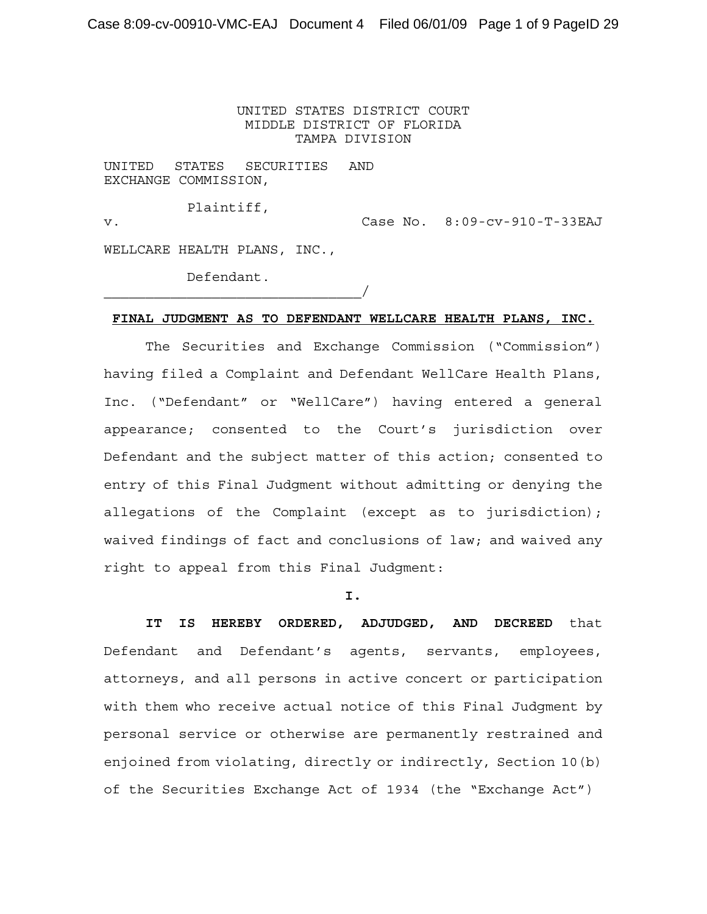## UNITED STATES DISTRICT COURT MIDDLE DISTRICT OF FLORIDA TAMPA DIVISION

UNITED STATES SECURITIES AND EXCHANGE COMMISSION,

Plaintiff, v. Case No. 8:09-cv-910-T-33EAJ WELLCARE HEALTH PLANS, INC.,

Defendant.

 $\overline{\phantom{a}}$ 

## **FINAL JUDGMENT AS TO DEFENDANT WELLCARE HEALTH PLANS, INC.**

The Securities and Exchange Commission ("Commission") having filed a Complaint and Defendant WellCare Health Plans, Inc. ("Defendant" or "WellCare") having entered a general appearance; consented to the Court's jurisdiction over Defendant and the subject matter of this action; consented to entry of this Final Judgment without admitting or denying the allegations of the Complaint (except as to jurisdiction); waived findings of fact and conclusions of law; and waived any right to appeal from this Final Judgment:

**I.**

**IT IS HEREBY ORDERED, ADJUDGED, AND DECREED** that Defendant and Defendant's agents, servants, employees, attorneys, and all persons in active concert or participation with them who receive actual notice of this Final Judgment by personal service or otherwise are permanently restrained and enjoined from violating, directly or indirectly, Section 10(b) of the Securities Exchange Act of 1934 (the "Exchange Act")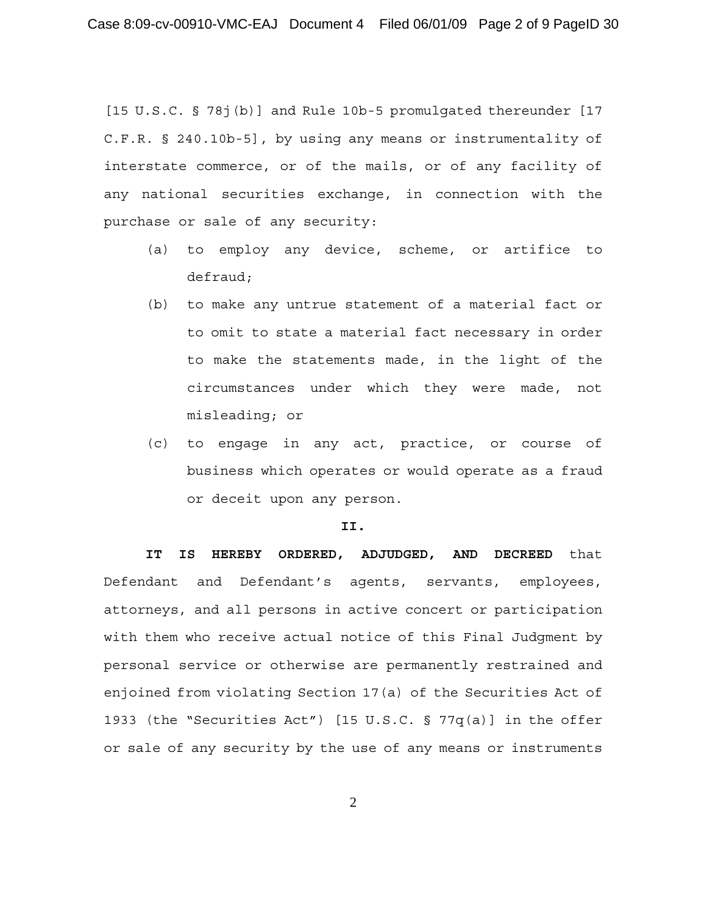[15 U.S.C. § 78j(b)] and Rule 10b-5 promulgated thereunder [17 C.F.R. § 240.10b-5], by using any means or instrumentality of interstate commerce, or of the mails, or of any facility of any national securities exchange, in connection with the purchase or sale of any security:

- (a) to employ any device, scheme, or artifice to defraud;
- (b) to make any untrue statement of a material fact or to omit to state a material fact necessary in order to make the statements made, in the light of the circumstances under which they were made, not misleading; or
- (c) to engage in any act, practice, or course of business which operates or would operate as a fraud or deceit upon any person.

#### **II.**

**IT IS HEREBY ORDERED, ADJUDGED, AND DECREED** that Defendant and Defendant's agents, servants, employees, attorneys, and all persons in active concert or participation with them who receive actual notice of this Final Judgment by personal service or otherwise are permanently restrained and enjoined from violating Section 17(a) of the Securities Act of 1933 (the "Securities Act") [15 U.S.C. § 77q(a)] in the offer or sale of any security by the use of any means or instruments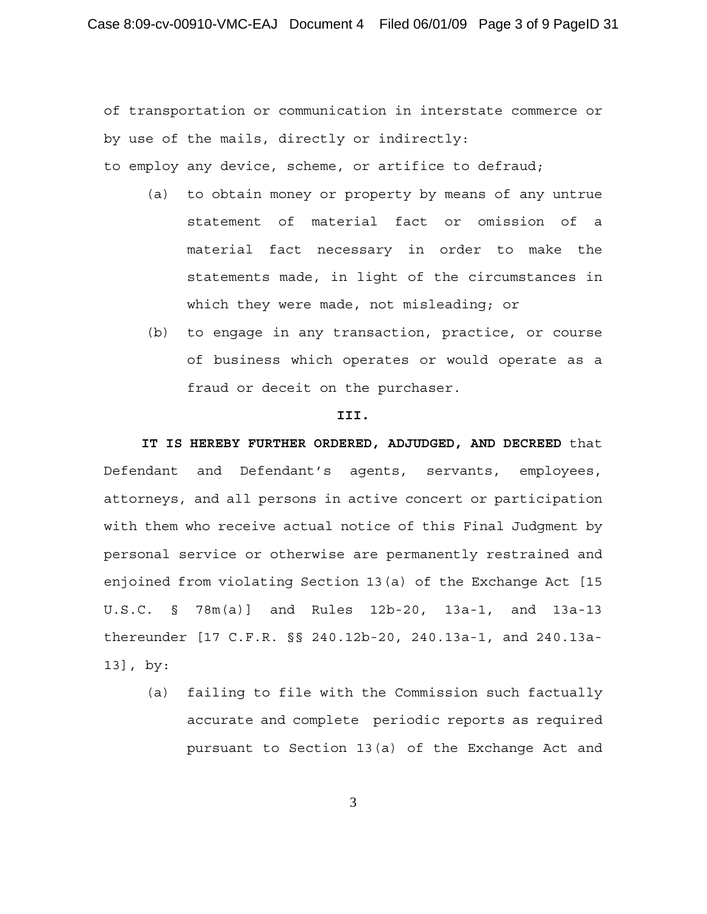of transportation or communication in interstate commerce or by use of the mails, directly or indirectly:

to employ any device, scheme, or artifice to defraud;

- (a) to obtain money or property by means of any untrue statement of material fact or omission of a material fact necessary in order to make the statements made, in light of the circumstances in which they were made, not misleading; or
- (b) to engage in any transaction, practice, or course of business which operates or would operate as a fraud or deceit on the purchaser.

### **III.**

**IT IS HEREBY FURTHER ORDERED, ADJUDGED, AND DECREED** that Defendant and Defendant's agents, servants, employees, attorneys, and all persons in active concert or participation with them who receive actual notice of this Final Judgment by personal service or otherwise are permanently restrained and enjoined from violating Section 13(a) of the Exchange Act [15 U.S.C. § 78m(a)] and Rules 12b-20, 13a-1, and 13a-13 thereunder [17 C.F.R. §§ 240.12b-20, 240.13a-1, and 240.13a-13], by:

(a) failing to file with the Commission such factually accurate and complete periodic reports as required pursuant to Section 13(a) of the Exchange Act and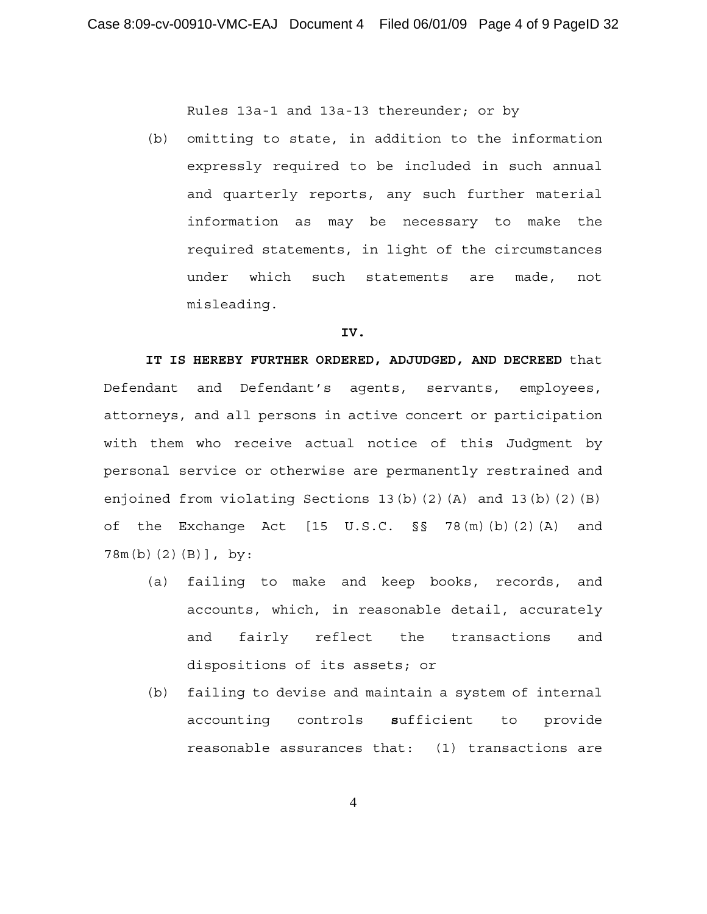Rules 13a-1 and 13a-13 thereunder; or by

(b) omitting to state, in addition to the information expressly required to be included in such annual and quarterly reports, any such further material information as may be necessary to make the required statements, in light of the circumstances under which such statements are made, not misleading.

#### **IV.**

**IT IS HEREBY FURTHER ORDERED, ADJUDGED, AND DECREED** that Defendant and Defendant's agents, servants, employees, attorneys, and all persons in active concert or participation with them who receive actual notice of this Judgment by personal service or otherwise are permanently restrained and enjoined from violating Sections 13(b)(2)(A) and 13(b)(2)(B) of the Exchange Act [15 U.S.C. §§ 78(m)(b)(2)(A) and 78m(b)(2)(B)], by:

- (a) failing to make and keep books, records, and accounts, which, in reasonable detail, accurately and fairly reflect the transactions and dispositions of its assets; or
- (b) failing to devise and maintain a system of internal accounting controls **s**ufficient to provide reasonable assurances that: (1) transactions are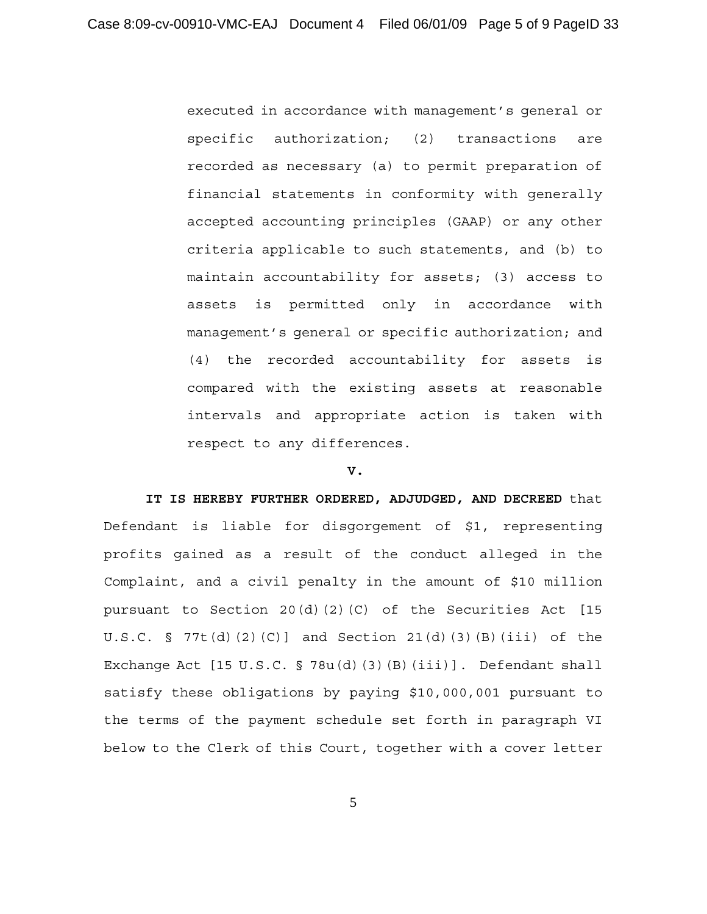executed in accordance with management's general or specific authorization; (2) transactions are recorded as necessary (a) to permit preparation of financial statements in conformity with generally accepted accounting principles (GAAP) or any other criteria applicable to such statements, and (b) to maintain accountability for assets; (3) access to assets is permitted only in accordance with management's general or specific authorization; and (4) the recorded accountability for assets is compared with the existing assets at reasonable intervals and appropriate action is taken with respect to any differences.

### **V.**

**IT IS HEREBY FURTHER ORDERED, ADJUDGED, AND DECREED** that Defendant is liable for disgorgement of \$1, representing profits gained as a result of the conduct alleged in the Complaint, and a civil penalty in the amount of \$10 million pursuant to Section 20(d)(2)(C) of the Securities Act [15 U.S.C. § 77t(d)(2)(C)] and Section  $21(d)(3)(B)(iii)$  of the Exchange Act [15 U.S.C. § 78u(d)(3)(B)(iii)]. Defendant shall satisfy these obligations by paying \$10,000,001 pursuant to the terms of the payment schedule set forth in paragraph VI below to the Clerk of this Court, together with a cover letter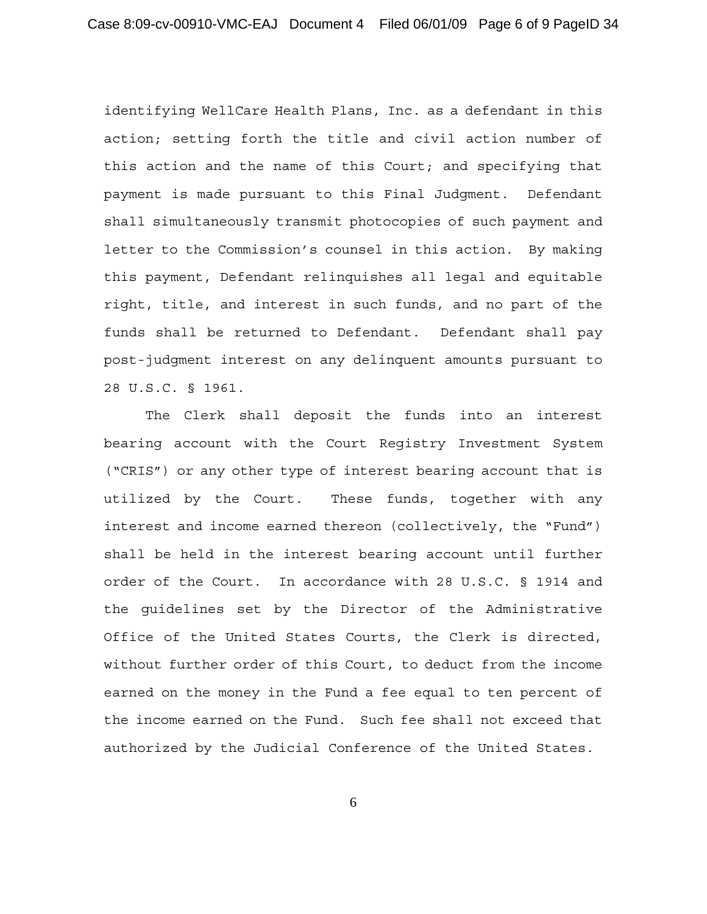identifying WellCare Health Plans, Inc. as a defendant in this action; setting forth the title and civil action number of this action and the name of this Court; and specifying that payment is made pursuant to this Final Judgment. Defendant shall simultaneously transmit photocopies of such payment and letter to the Commission's counsel in this action. By making this payment, Defendant relinquishes all legal and equitable right, title, and interest in such funds, and no part of the funds shall be returned to Defendant. Defendant shall pay post-judgment interest on any delinquent amounts pursuant to 28 U.S.C. § 1961.

The Clerk shall deposit the funds into an interest bearing account with the Court Registry Investment System ("CRIS") or any other type of interest bearing account that is utilized by the Court. These funds, together with any interest and income earned thereon (collectively, the "Fund") shall be held in the interest bearing account until further order of the Court. In accordance with 28 U.S.C. § 1914 and the guidelines set by the Director of the Administrative Office of the United States Courts, the Clerk is directed, without further order of this Court, to deduct from the income earned on the money in the Fund a fee equal to ten percent of the income earned on the Fund. Such fee shall not exceed that authorized by the Judicial Conference of the United States.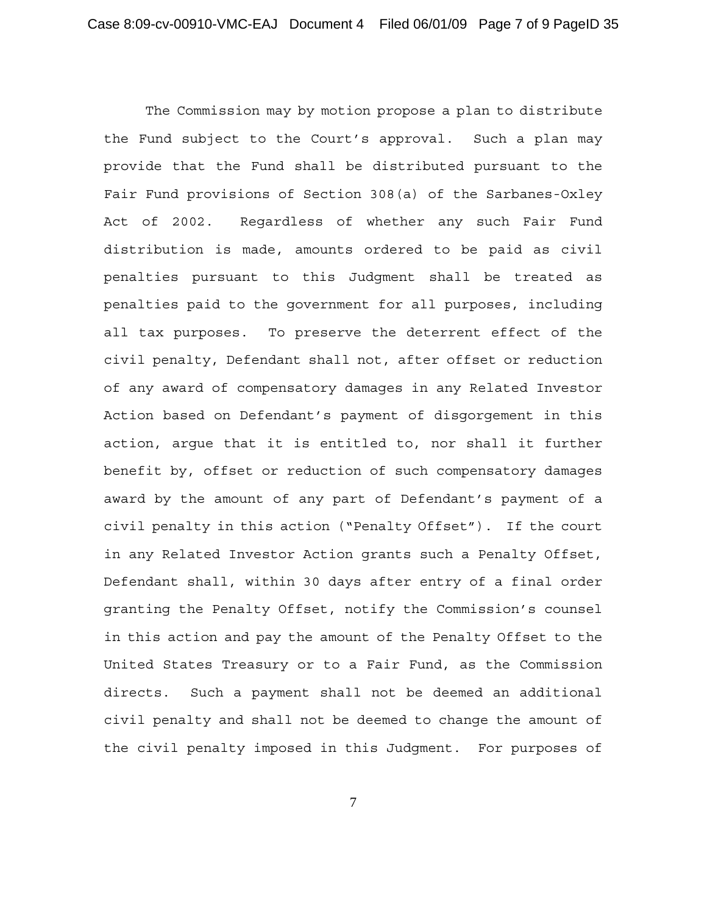The Commission may by motion propose a plan to distribute the Fund subject to the Court's approval. Such a plan may provide that the Fund shall be distributed pursuant to the Fair Fund provisions of Section 308(a) of the Sarbanes-Oxley Act of 2002. Regardless of whether any such Fair Fund distribution is made, amounts ordered to be paid as civil penalties pursuant to this Judgment shall be treated as penalties paid to the government for all purposes, including all tax purposes. To preserve the deterrent effect of the civil penalty, Defendant shall not, after offset or reduction of any award of compensatory damages in any Related Investor Action based on Defendant's payment of disgorgement in this action, argue that it is entitled to, nor shall it further benefit by, offset or reduction of such compensatory damages award by the amount of any part of Defendant's payment of a civil penalty in this action ("Penalty Offset"). If the court in any Related Investor Action grants such a Penalty Offset, Defendant shall, within 30 days after entry of a final order granting the Penalty Offset, notify the Commission's counsel in this action and pay the amount of the Penalty Offset to the United States Treasury or to a Fair Fund, as the Commission directs. Such a payment shall not be deemed an additional civil penalty and shall not be deemed to change the amount of the civil penalty imposed in this Judgment. For purposes of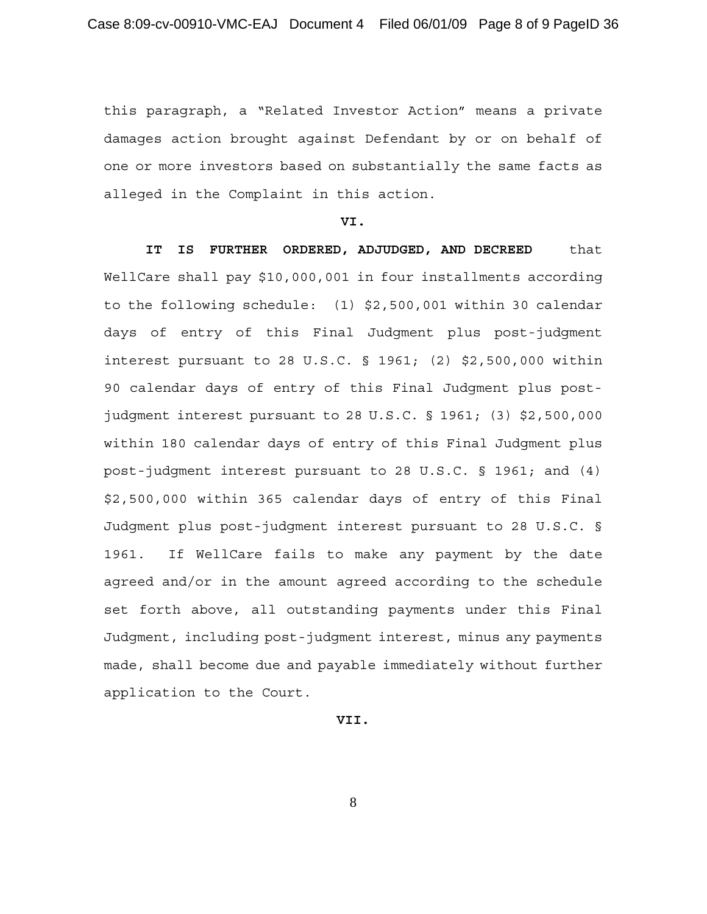this paragraph, a "Related Investor Action" means a private damages action brought against Defendant by or on behalf of one or more investors based on substantially the same facts as alleged in the Complaint in this action.

#### **VI.**

**IT IS FURTHER ORDERED, ADJUDGED, AND DECREED** that WellCare shall pay \$10,000,001 in four installments according to the following schedule: (1) \$2,500,001 within 30 calendar days of entry of this Final Judgment plus post-judgment interest pursuant to 28 U.S.C. § 1961; (2) \$2,500,000 within 90 calendar days of entry of this Final Judgment plus postjudgment interest pursuant to 28 U.S.C. § 1961; (3) \$2,500,000 within 180 calendar days of entry of this Final Judgment plus post-judgment interest pursuant to 28 U.S.C. § 1961; and (4) \$2,500,000 within 365 calendar days of entry of this Final Judgment plus post-judgment interest pursuant to 28 U.S.C. § 1961. If WellCare fails to make any payment by the date agreed and/or in the amount agreed according to the schedule set forth above, all outstanding payments under this Final Judgment, including post-judgment interest, minus any payments made, shall become due and payable immediately without further application to the Court.

# **VII.**